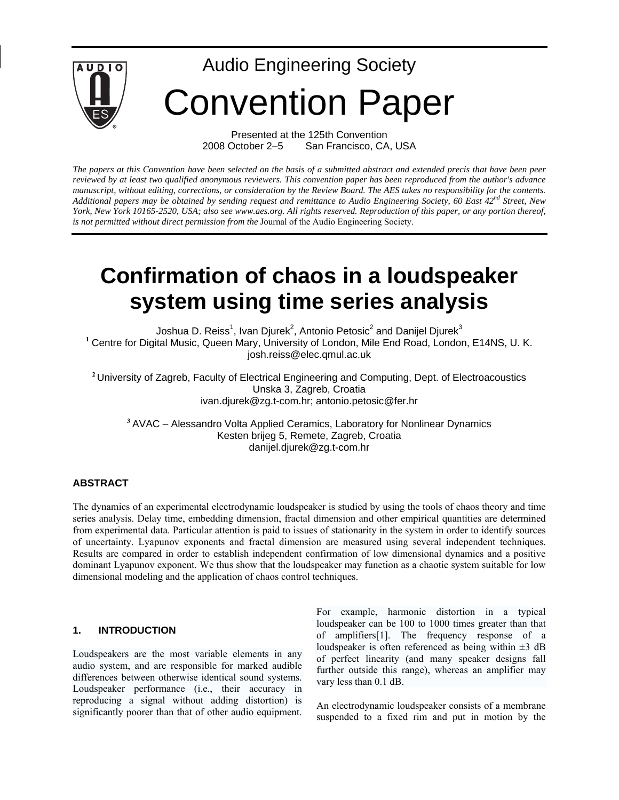

Presented at the 125th Convention 2008 October 2–5 San Francisco, CA, USA

*The papers at this Convention have been selected on the basis of a submitted abstract and extended precis that have been peer reviewed by at least two qualified anonymous reviewers. This convention paper has been reproduced from the author's advance manuscript, without editing, corrections, or consideration by the Review Board. The AES takes no responsibility for the contents.*  Additional papers may be obtained by sending request and remittance to Audio Engineering Society, 60 East 42<sup>nd</sup> Street, New *York, New York 10165-2520, USA; also see www.aes.org. All rights reserved. Reproduction of this paper, or any portion thereof, is not permitted without direct permission from the* Journal of the Audio Engineering Society.

# **Confirmation of chaos in a loudspeaker system using time series analysis**

Joshua D. Reiss<sup>1</sup>, Ivan Djurek<sup>2</sup>, Antonio Petosic<sup>2</sup> and Danijel Djurek $^3$ **<sup>1</sup>** Centre for Digital Music, Queen Mary, University of London, Mile End Road, London, E14NS, U. K. josh.reiss@elec.qmul.ac.uk

<sup>2</sup> University of Zagreb, Faculty of Electrical Engineering and Computing, Dept. of Electroacoustics Unska 3, Zagreb, Croatia ivan.djurek@zg.t-com.hr; antonio.petosic@fer.hr

**<sup>3</sup>** AVAC – Alessandro Volta Applied Ceramics, Laboratory for Nonlinear Dynamics Kesten brijeg 5, Remete, Zagreb, Croatia danijel.djurek@zg.t-com.hr

## **ABSTRACT**

The dynamics of an experimental electrodynamic loudspeaker is studied by using the tools of chaos theory and time series analysis. Delay time, embedding dimension, fractal dimension and other empirical quantities are determined from experimental data. Particular attention is paid to issues of stationarity in the system in order to identify sources of uncertainty. Lyapunov exponents and fractal dimension are measured using several independent techniques. Results are compared in order to establish independent confirmation of low dimensional dynamics and a positive dominant Lyapunov exponent. We thus show that the loudspeaker may function as a chaotic system suitable for low dimensional modeling and the application of chaos control techniques.

#### **1. INTRODUCTION**

Loudspeakers are the most variable elements in any audio system, and are responsible for marked audible differences between otherwise identical sound systems. Loudspeaker performance (i.e., their accuracy in reproducing a signal without adding distortion) is significantly poorer than that of other audio equipment. For example, harmonic distortion in a typical loudspeaker can be 100 to 1000 times greater than that of amplifiers[1]. The frequency response of a loudspeaker is often referenced as being within  $\pm 3$  dB of perfect linearity (and many speaker designs fall further outside this range), whereas an amplifier may vary less than 0.1 dB.

An electrodynamic loudspeaker consists of a membrane suspended to a fixed rim and put in motion by the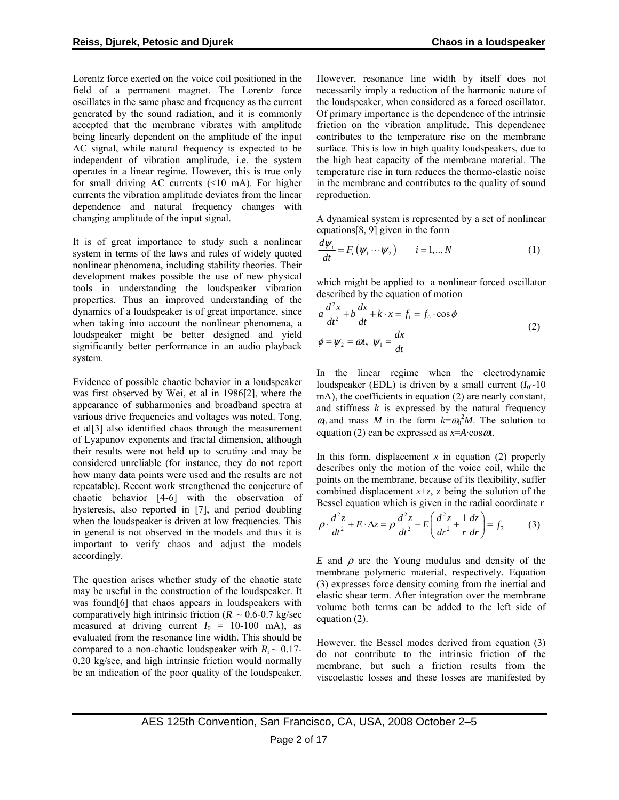<span id="page-1-0"></span>Lorentz force exerted on the voice coil positioned in the field of a permanent magnet. The Lorentz force oscillates in the same phase and frequency as the current generated by the sound radiation, and it is commonly accepted that the membrane vibrates with amplitude being linearly dependent on the amplitude of the input AC signal, while natural frequency is expected to be independent of vibration amplitude, i.e. the system operates in a linear regime. However, this is true only for small driving AC currents (<10 mA). For higher currents the vibration amplitude deviates from the linear dependence and natural frequency changes with changing amplitude of the input signal.

It is of great importance to study such a nonlinear system in terms of the laws and rules of widely quoted nonlinear phenomena, including stability theories. Their development makes possible the use of new physical tools in understanding the loudspeaker vibration properties. Thus an improved understanding of the dynamics of a loudspeaker is of great importance, since when taking into account the nonlinear phenomena, a loudspeaker might be better designed and yield significantly better performance in an audio playback system.

Evidence of possible chaotic behavior in a loudspeaker was first observed by Wei, et al in 1986[2], where the appearance of subharmonics and broadband spectra at various drive frequencies and voltages was noted. Tong, et al[3] also identified chaos through the measurement of Lyapunov exponents and fractal dimension, although their results were not held up to scrutiny and may be considered unreliable (for instance, they do not report how many data points were used and the results are not repeatable). Recent work strengthened the conjecture of chaotic behavior [4-6] with the observation of hysteresis, also reported in [7], and period doubling when the loudspeaker is driven at low frequencies. This in general is not observed in the models and thus it is important to verify chaos and adjust the models accordingly.

The question arises whether study of the chaotic state may be useful in the construction of the loudspeaker. It was found[6] that chaos appears in loudspeakers with comparatively high intrinsic friction  $(R<sub>i</sub> \sim 0.6 - 0.7 \text{ kg/sec})$ measured at driving current  $I_0 = 10{\text -}100 \text{ mA}$ , as evaluated from the resonance line width. This should be compared to a non-chaotic loudspeaker with  $R_i \sim 0.17$ -0.20 kg/sec, and high intrinsic friction would normally be an indication of the poor quality of the loudspeaker. However, resonance line width by itself does not necessarily imply a reduction of the harmonic nature of the loudspeaker, when considered as a forced oscillator. Of primary importance is the dependence of the intrinsic friction on the vibration amplitude. This dependence contributes to the temperature rise on the membrane surface. This is low in high quality loudspeakers, due to the high heat capacity of the membrane material. The temperature rise in turn reduces the thermo-elastic noise in the membrane and contributes to the quality of sound reproduction.

A dynamical system is represented by a set of nonlinear equations[8, 9] given in the form

$$
\frac{d\psi_i}{dt} = F_i(\psi_1 \cdots \psi_2) \qquad i = 1,..,N \tag{1}
$$

which might be applied to a nonlinear forced oscillator described by the equation of motion

$$
a\frac{d^2x}{dt^2} + b\frac{dx}{dt} + k \cdot x = f_1 = f_0 \cdot \cos\phi
$$
  

$$
\phi = \psi_2 = \omega t, \ \psi_1 = \frac{dx}{dt}
$$
 (2)

In the linear regime when the electrodynamic loudspeaker (EDL) is driven by a small current  $(I_0 \sim 10$ mA), the coefficients in equation [\(2\)](#page-1-0) are nearly constant, and stiffness  $k$  is expressed by the natural frequency  $\omega_0$  and mass *M* in the form  $k = \omega_0^2 M$ . The solution to equation [\(2\)](#page-1-0) can be expressed as  $x=$ *A*·cos $\omega t$ .

In this form, displacement  $x$  in equation [\(2\)](#page-1-0) properly describes only the motion of the voice coil, while the points on the membrane, because of its flexibility, suffer combined displacement  $x + z$ , *z* being the solution of the Bessel equation which is given in the radial coordinate *r*

$$
\rho \cdot \frac{d^2 z}{dt^2} + E \cdot \Delta z = \rho \frac{d^2 z}{dt^2} - E \left( \frac{d^2 z}{dt^2} + \frac{1}{r} \frac{dz}{dr} \right) = f_2 \tag{3}
$$

*E* and  $\rho$  are the Young modulus and density of the membrane polymeric material, respectively. Equation [\(3\)](#page-1-0) expresses force density coming from the inertial and elastic shear term. After integration over the membrane volume both terms can be added to the left side of equation [\(2\).](#page-1-0)

However, the Bessel modes derived from equation [\(3\)](#page-1-0) do not contribute to the intrinsic friction of the membrane, but such a friction results from the viscoelastic losses and these losses are manifested by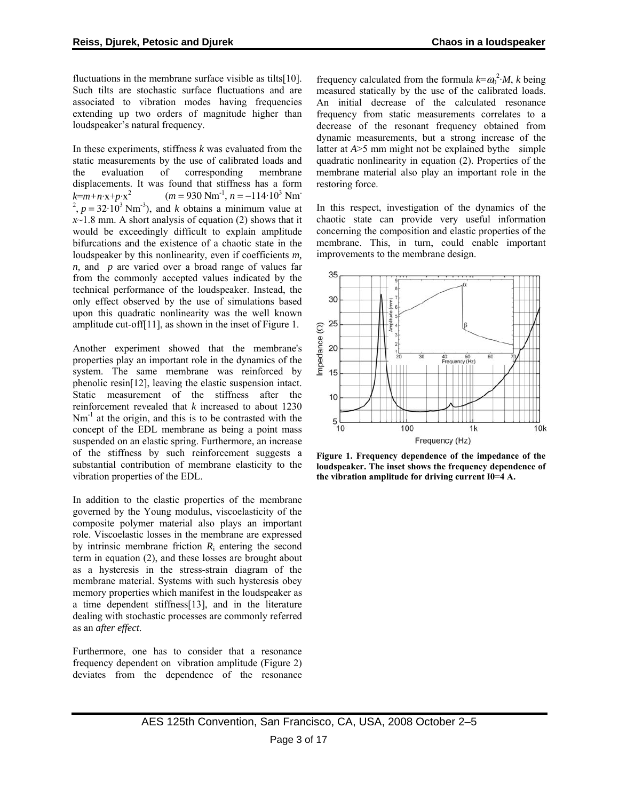<span id="page-2-0"></span>fluctuations in the membrane surface visible as tilts[10]. Such tilts are stochastic surface fluctuations and are associated to vibration modes having frequencies extending up two orders of magnitude higher than loudspeaker's natural frequency.

In these experiments, stiffness *k* was evaluated from the static measurements by the use of calibrated loads and the evaluation of corresponding membrane displacements. It was found that stiffness has a form  $k=m+n\cdot x+p\cdot x^2$  $(m = 930 \text{ Nm}^{-1}, n = -114 \cdot 10^3 \text{ Nm}^{-1})$ <sup>2</sup>,  $p = 32 \cdot 10^3$  Nm<sup>-3</sup>), and *k* obtains a minimum value at  $x$ <sup>-1.8</sup> mm. A short analysis of equation [\(2\)](#page-1-0) shows that it would be exceedingly difficult to explain amplitude bifurcations and the existence of a chaotic state in the loudspeaker by this nonlinearity, even if coefficients *m, n*, and *p* are varied over a broad range of values far from the commonly accepted values indicated by the technical performance of the loudspeaker. Instead, the only effect observed by the use of simulations based upon this quadratic nonlinearity was the well known amplitude cut-off[11], as shown in the inset of [Figure 1.](#page-2-0)

Another experiment showed that the membrane's properties play an important role in the dynamics of the system. The same membrane was reinforced by phenolic resin[12], leaving the elastic suspension intact. Static measurement of the stiffness after the reinforcement revealed that *k* increased to about 1230  $Nm^{-1}$  at the origin, and this is to be contrasted with the concept of the EDL membrane as being a point mass suspended on an elastic spring. Furthermore, an increase of the stiffness by such reinforcement suggests a substantial contribution of membrane elasticity to the vibration properties of the EDL.

In addition to the elastic properties of the membrane governed by the Young modulus, viscoelasticity of the composite polymer material also plays an important role. Viscoelastic losses in the membrane are expressed by intrinsic membrane friction *R*i entering the second term in equation [\(2\)](#page-1-0), and these losses are brought about as a hysteresis in the stress-strain diagram of the membrane material. Systems with such hysteresis obey memory properties which manifest in the loudspeaker as a time dependent stiffness[13], and in the literature dealing with stochastic processes are commonly referred as an *after effect*.

Furthermore, one has to consider that a resonance frequency dependent on vibration amplitude [\(Figure 2\)](#page-3-0) deviates from the dependence of the resonance

frequency calculated from the formula  $k = \omega_0^2 M$ , *k* being measured statically by the use of the calibrated loads. An initial decrease of the calculated resonance frequency from static measurements correlates to a decrease of the resonant frequency obtained from dynamic measurements, but a strong increase of the latter at *A*>5 mm might not be explained bythe simple quadratic nonlinearity in equation [\(2\)](#page-1-0). Properties of the membrane material also play an important role in the restoring force.

In this respect, investigation of the dynamics of the chaotic state can provide very useful information concerning the composition and elastic properties of the membrane. This, in turn, could enable important improvements to the membrane design.



**Figure 1. Frequency dependence of the impedance of the loudspeaker. The inset shows the frequency dependence of the vibration amplitude for driving current I0=4 A.**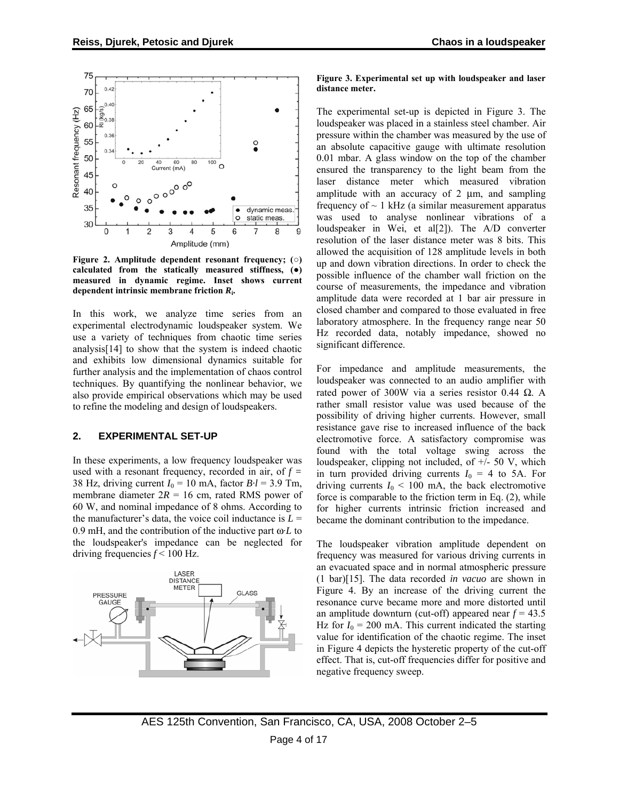<span id="page-3-0"></span>

**Figure 2. Amplitude dependent resonant frequency; (○) calculated from the statically measured stiffness, (●) measured in dynamic regime. Inset shows current dependent intrinsic membrane friction** *R***i.** 

In this work, we analyze time series from an experimental electrodynamic loudspeaker system. We use a variety of techniques from chaotic time series analysis[14] to show that the system is indeed chaotic and exhibits low dimensional dynamics suitable for further analysis and the implementation of chaos control techniques. By quantifying the nonlinear behavior, we also provide empirical observations which may be used to refine the modeling and design of loudspeakers.

### **2. EXPERIMENTAL SET-UP**

In these experiments, a low frequency loudspeaker was used with a resonant frequency, recorded in air, of *f =* 38 Hz, driving current  $I_0 = 10$  mA, factor  $B \cdot l = 3.9$  Tm, membrane diameter  $2R = 16$  cm, rated RMS power of 60 W, and nominal impedance of 8 ohms. According to the manufacturer's data, the voice coil inductance is  $L =$ 0.9 mH, and the contribution of the inductive part ω·*L* to the loudspeaker's impedance can be neglected for driving frequencies *f* < 100 Hz.



#### **Figure 3. Experimental set up with loudspeaker and laser distance meter.**

The experimental set-up is depicted in [Figure 3](#page-3-0). The loudspeaker was placed in a stainless steel chamber. Air pressure within the chamber was measured by the use of an absolute capacitive gauge with ultimate resolution 0.01 mbar. A glass window on the top of the chamber ensured the transparency to the light beam from the laser distance meter which measured vibration amplitude with an accuracy of 2 μm, and sampling frequency of  $\sim$  1 kHz (a similar measurement apparatus was used to analyse nonlinear vibrations of a loudspeaker in Wei, et al[2]). The A/D converter resolution of the laser distance meter was 8 bits. This allowed the acquisition of 128 amplitude levels in both up and down vibration directions. In order to check the possible influence of the chamber wall friction on the course of measurements, the impedance and vibration amplitude data were recorded at 1 bar air pressure in closed chamber and compared to those evaluated in free laboratory atmosphere. In the frequency range near 50 Hz recorded data, notably impedance, showed no significant difference.

For impedance and amplitude measurements, the loudspeaker was connected to an audio amplifier with rated power of 300W via a series resistor 0.44 Ω. A rather small resistor value was used because of the possibility of driving higher currents. However, small resistance gave rise to increased influence of the back electromotive force. A satisfactory compromise was found with the total voltage swing across the loudspeaker, clipping not included, of  $+/-$  50 V, which in turn provided driving currents  $I_0 = 4$  to 5A. For driving currents  $I_0$  < 100 mA, the back electromotive force is comparable to the friction term in Eq. [\(2\),](#page-1-0) while for higher currents intrinsic friction increased and became the dominant contribution to the impedance.

The loudspeaker vibration amplitude dependent on frequency was measured for various driving currents in an evacuated space and in normal atmospheric pressure (1 bar)[15]. The data recorded *in vacuo* are shown in [Figure 4.](#page-4-0) By an increase of the driving current the resonance curve became more and more distorted until an amplitude downturn (cut-off) appeared near *f* = 43.5 Hz for  $I_0 = 200$  mA. This current indicated the starting value for identification of the chaotic regime. The inset in [Figure 4](#page-4-0) depicts the hysteretic property of the cut-off effect. That is, cut-off frequencies differ for positive and negative frequency sweep.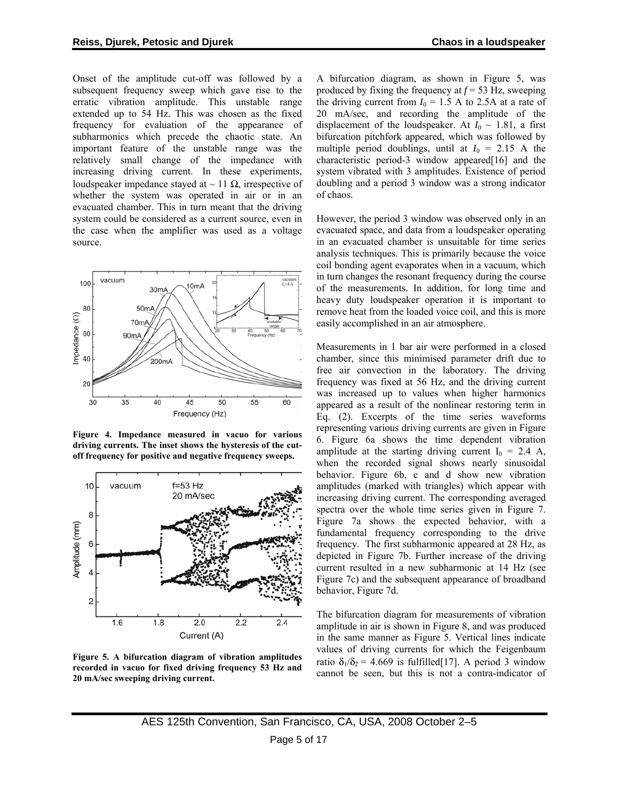<span id="page-4-0"></span>Onset of the amplitude cut-off was followed by a subsequent frequency sweep which gave rise to the erratic vibration amplitude. This unstable range extended up to 54 Hz. This was chosen as the fixed frequency for evaluation of the appearance of subharmonics which precede the chaotic state. An important feature of the unstable range was the relatively small change of the impedance with increasing driving current. In these experiments, loudspeaker impedance stayed at  $\sim$  11 Ω, irrespective of whether the system was operated in air or in an evacuated chamber. This in turn meant that the driving system could be considered as a current source, even in the case when the amplifier was used as a voltage source.



**Figure 4. Impedance measured in vacuo for various driving currents. The inset shows the hysteresis of the cutoff frequency for positive and negative frequency sweeps.** 



**Figure 5. A bifurcation diagram of vibration amplitudes recorded in vacuo for fixed driving frequency 53 Hz and 20 mA/sec sweeping driving current.** 

A bifurcation diagram, as shown in [Figure 5,](#page-4-0) was produced by fixing the frequency at  $f = 53$  Hz, sweeping the driving current from  $I_0 = 1.5$  A to 2.5A at a rate of 20 mA/sec, and recording the amplitude of the displacement of the loudspeaker. At  $I_0 \sim 1.81$ , a first bifurcation pitchfork appeared, which was followed by multiple period doublings, until at  $I_0 = 2.15$  A the characteristic period-3 window appeared[16] and the system vibrated with 3 amplitudes. Existence of period doubling and a period 3 window was a strong indicator of chaos.

However, the period 3 window was observed only in an evacuated space, and data from a loudspeaker operating in an evacuated chamber is unsuitable for time series analysis techniques. This is primarily because the voice coil bonding agent evaporates when in a vacuum, which in turn changes the resonant frequency during the course of the measurements. In addition, for long time and heavy duty loudspeaker operation it is important to remove heat from the loaded voice coil, and this is more easily accomplished in an air atmosphere.

Measurements in 1 bar air were performed in a closed chamber, since this minimised parameter drift due to free air convection in the laboratory. The driving frequency was fixed at 56 Hz, and the driving current was increased up to values when higher harmonics appeared as a result of the nonlinear restoring term in Eq. [\(2\).](#page-1-0) Excerpts of the time series waveforms representing various driving currents are given in [Figure](#page-5-0)  [6](#page-5-0). [Figure 6a](#page-5-0) shows the time dependent vibration amplitude at the starting driving current  $I_0 = 2.4$  A, when the recorded signal shows nearly sinusoidal behavior. [Figure 6](#page-5-0)b, c and d show new vibration amplitudes (marked with triangles) which appear with increasing driving current. The corresponding averaged spectra over the whole time series given in [Figure 7.](#page-6-0) [Figure 7a](#page-6-0) shows the expected behavior, with a fundamental frequency corresponding to the drive frequency. The first subharmonic appeared at 28 Hz, as depicted in [Figure 7](#page-6-0)b. Further increase of the driving current resulted in a new subharmonic at 14 Hz (see [Figure 7](#page-6-0)c) and the subsequent appearance of broadband behavior, [Figure 7d](#page-6-0).

The bifurcation diagram for measurements of vibration amplitude in air is shown in [Figure 8](#page-6-0), and was produced in the same manner as [Figure 5](#page-4-0). Vertical lines indicate values of driving currents for which the Feigenbaum ratio  $\delta_1/\delta_2 = 4.669$  is fulfilled [17]. A period 3 window cannot be seen, but this is not a contra-indicator of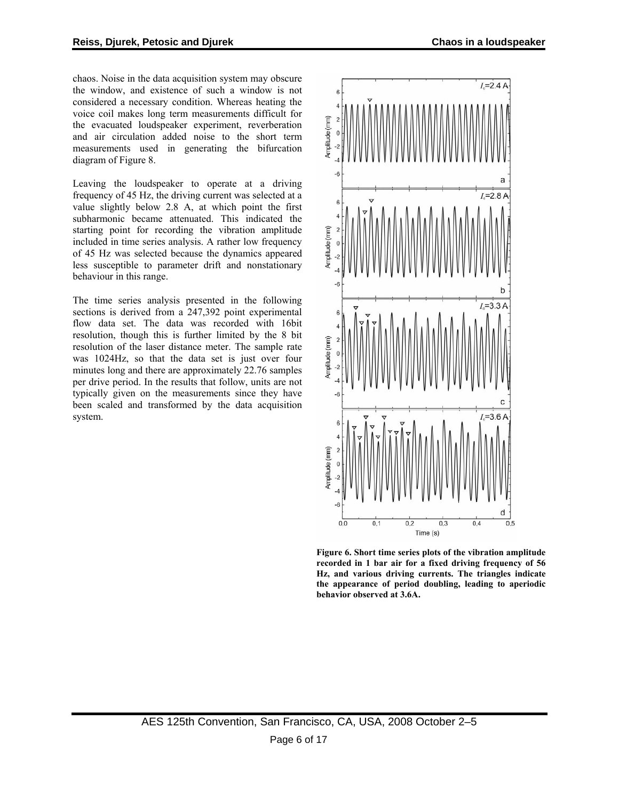<span id="page-5-0"></span>chaos. Noise in the data acquisition system may obscure the window, and existence of such a window is not considered a necessary condition. Whereas heating the voice coil makes long term measurements difficult for the evacuated loudspeaker experiment, reverberation and air circulation added noise to the short term measurements used in generating the bifurcation diagram of [Figure 8.](#page-6-0)

Leaving the loudspeaker to operate at a driving frequency of 45 Hz, the driving current was selected at a value slightly below 2.8 A, at which point the first subharmonic became attenuated. This indicated the starting point for recording the vibration amplitude included in time series analysis. A rather low frequency of 45 Hz was selected because the dynamics appeared less susceptible to parameter drift and nonstationary behaviour in this range.

The time series analysis presented in the following sections is derived from a 247,392 point experimental flow data set. The data was recorded with 16bit resolution, though this is further limited by the 8 bit resolution of the laser distance meter. The sample rate was 1024Hz, so that the data set is just over four minutes long and there are approximately 22.76 samples per drive period. In the results that follow, units are not typically given on the measurements since they have been scaled and transformed by the data acquisition system.



**Figure 6. Short time series plots of the vibration amplitude recorded in 1 bar air for a fixed driving frequency of 56 Hz, and various driving currents. The triangles indicate the appearance of period doubling, leading to aperiodic behavior observed at 3.6A.**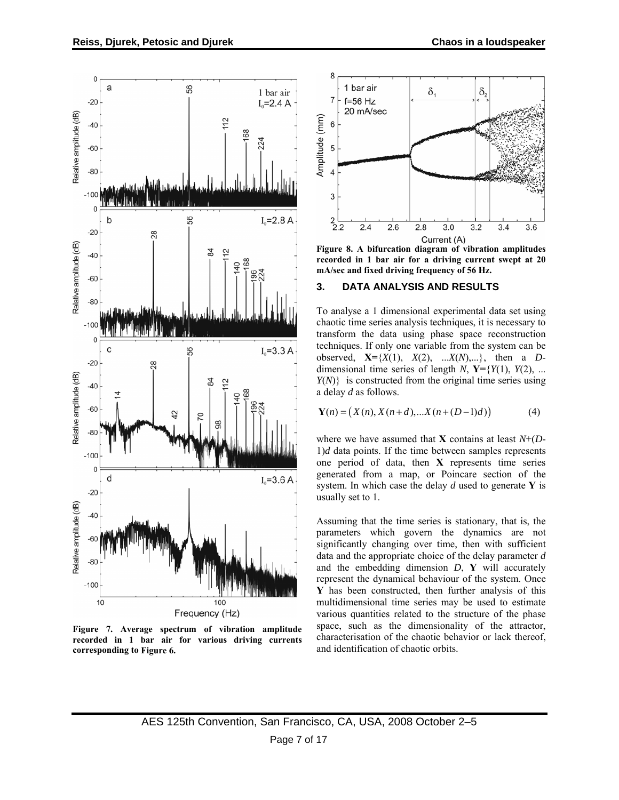<span id="page-6-0"></span>

**Figure 7. Average spectrum of vibration amplitude recorded in 1 bar air for various driving currents corresponding to [Figure 6.](#page-5-0)** 



**Figure 8. A bifurcation diagram of vibration amplitudes recorded in 1 bar air for a driving current swept at 20 mA/sec and fixed driving frequency of 56 Hz.** 

#### **3. DATA ANALYSIS AND RESULTS**

To analyse a 1 dimensional experimental data set using chaotic time series analysis techniques, it is necessary to transform the data using phase space reconstruction techniques. If only one variable from the system can be observed,  $X = \{X(1), X(2), \dots, X(N),\dots\}$ , then a *D*dimensional time series of length *N*,  $Y=\{Y(1), Y(2), \ldots\}$ *Y*(*N*)} is constructed from the original time series using a delay *d* as follows.

$$
\mathbf{Y}(n) = (X(n), X(n+d), \dots X(n+(D-1)d))
$$
 (4)

where we have assumed that **X** contains at least *N*+(*D*- $1)d$  data points. If the time between samples represents one period of data, then **X** represents time series generated from a map, or Poincare section of the system. In which case the delay *d* used to generate **Y** is usually set to 1.

Assuming that the time series is stationary, that is, the parameters which govern the dynamics are not significantly changing over time, then with sufficient data and the appropriate choice of the delay parameter *d* and the embedding dimension *D*, **Y** will accurately represent the dynamical behaviour of the system. Once **Y** has been constructed, then further analysis of this multidimensional time series may be used to estimate various quantities related to the structure of the phase space, such as the dimensionality of the attractor, characterisation of the chaotic behavior or lack thereof, and identification of chaotic orbits.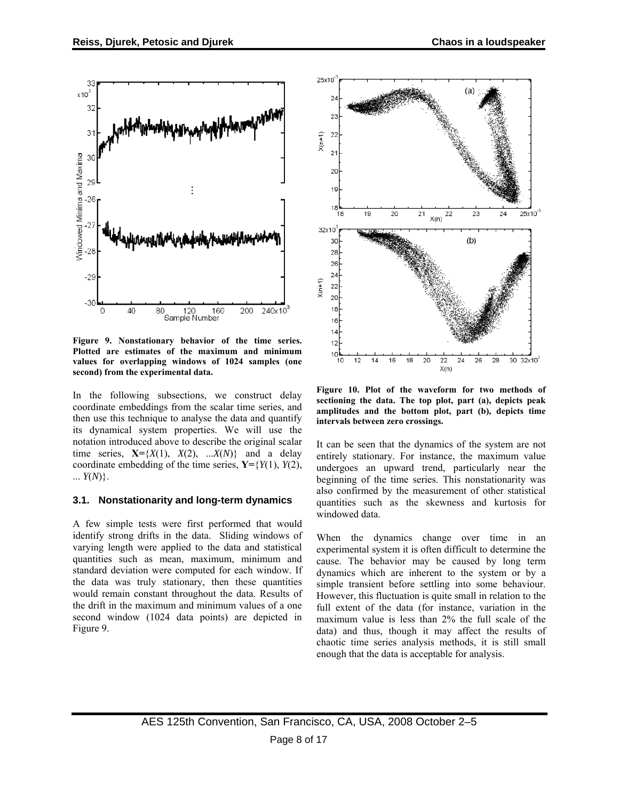<span id="page-7-0"></span>

**Figure 9. Nonstationary behavior of the time series. Plotted are estimates of the maximum and minimum values for overlapping windows of 1024 samples (one second) from the experimental data.** 

In the following subsections, we construct delay coordinate embeddings from the scalar time series, and then use this technique to analyse the data and quantify its dynamical system properties. We will use the notation introduced above to describe the original scalar time series,  $X=\{X(1), X(2), ...X(N)\}\$  and a delay coordinate embedding of the time series, **Y=**{*Y*(1), *Y*(2), ... *Y*(*N*)}.

#### **3.1. Nonstationarity and long-term dynamics**

A few simple tests were first performed that would identify strong drifts in the data. Sliding windows of varying length were applied to the data and statistical quantities such as mean, maximum, minimum and standard deviation were computed for each window. If the data was truly stationary, then these quantities would remain constant throughout the data. Results of the drift in the maximum and minimum values of a one second window (1024 data points) are depicted in [Figure 9.](#page-7-0)



**Figure 10. Plot of the waveform for two methods of sectioning the data. The top plot, part (a), depicts peak amplitudes and the bottom plot, part (b), depicts time intervals between zero crossings.** 

It can be seen that the dynamics of the system are not entirely stationary. For instance, the maximum value undergoes an upward trend, particularly near the beginning of the time series. This nonstationarity was also confirmed by the measurement of other statistical quantities such as the skewness and kurtosis for windowed data.

When the dynamics change over time in an experimental system it is often difficult to determine the cause. The behavior may be caused by long term dynamics which are inherent to the system or by a simple transient before settling into some behaviour. However, this fluctuation is quite small in relation to the full extent of the data (for instance, variation in the maximum value is less than 2% the full scale of the data) and thus, though it may affect the results of chaotic time series analysis methods, it is still small enough that the data is acceptable for analysis.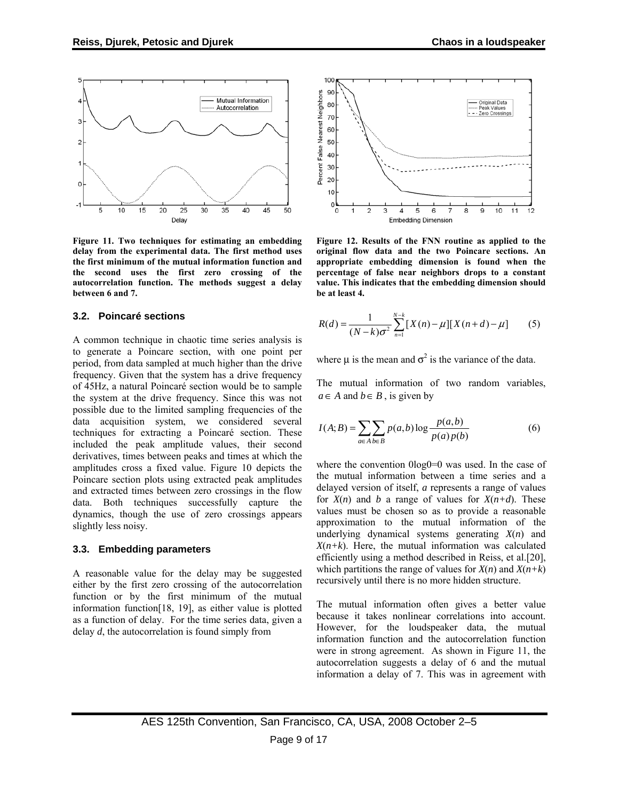<span id="page-8-0"></span>

**Figure 11. Two techniques for estimating an embedding delay from the experimental data. The first method uses the first minimum of the mutual information function and the second uses the first zero crossing of the autocorrelation function. The methods suggest a delay between 6 and 7.** 

#### **3.2. Poincaré sections**

A common technique in chaotic time series analysis is to generate a Poincare section, with one point per period, from data sampled at much higher than the drive frequency. Given that the system has a drive frequency of 45Hz, a natural Poincaré section would be to sample the system at the drive frequency. Since this was not possible due to the limited sampling frequencies of the data acquisition system, we considered several techniques for extracting a Poincaré section. These included the peak amplitude values, their second derivatives, times between peaks and times at which the amplitudes cross a fixed value. [Figure 10](#page-7-0) depicts the Poincare section plots using extracted peak amplitudes and extracted times between zero crossings in the flow data. Both techniques successfully capture the dynamics, though the use of zero crossings appears slightly less noisy.

#### **3.3. Embedding parameters**

A reasonable value for the delay may be suggested either by the first zero crossing of the autocorrelation function or by the first minimum of the mutual information function[18, 19], as either value is plotted as a function of delay. For the time series data, given a delay *d*, the autocorrelation is found simply from



**Figure 12. Results of the FNN routine as applied to the original flow data and the two Poincare sections. An appropriate embedding dimension is found when the percentage of false near neighbors drops to a constant value. This indicates that the embedding dimension should be at least 4.** 

$$
R(d) = \frac{1}{(N-k)\sigma^2} \sum_{n=1}^{N-k} [X(n) - \mu][X(n+d) - \mu] \tag{5}
$$

where  $\mu$  is the mean and  $\sigma^2$  is the variance of the data.

The mutual information of two random variables,  $a \in A$  and  $b \in B$ , is given by

$$
I(A;B) = \sum_{a \in A} \sum_{b \in B} p(a,b) \log \frac{p(a,b)}{p(a)p(b)} \tag{6}
$$

where the convention  $0\log 0=0$  was used. In the case of the mutual information between a time series and a delayed version of itself, *a* represents a range of values for  $X(n)$  and *b* a range of values for  $X(n+d)$ . These values must be chosen so as to provide a reasonable approximation to the mutual information of the underlying dynamical systems generating *X*(*n*) and  $X(n+k)$ . Here, the mutual information was calculated efficiently using a method described in Reiss, et al.[20], which partitions the range of values for  $X(n)$  and  $X(n+k)$ recursively until there is no more hidden structure.

The mutual information often gives a better value because it takes nonlinear correlations into account. However, for the loudspeaker data, the mutual information function and the autocorrelation function were in strong agreement. As shown in [Figure 11,](#page-8-0) the autocorrelation suggests a delay of 6 and the mutual information a delay of 7. This was in agreement with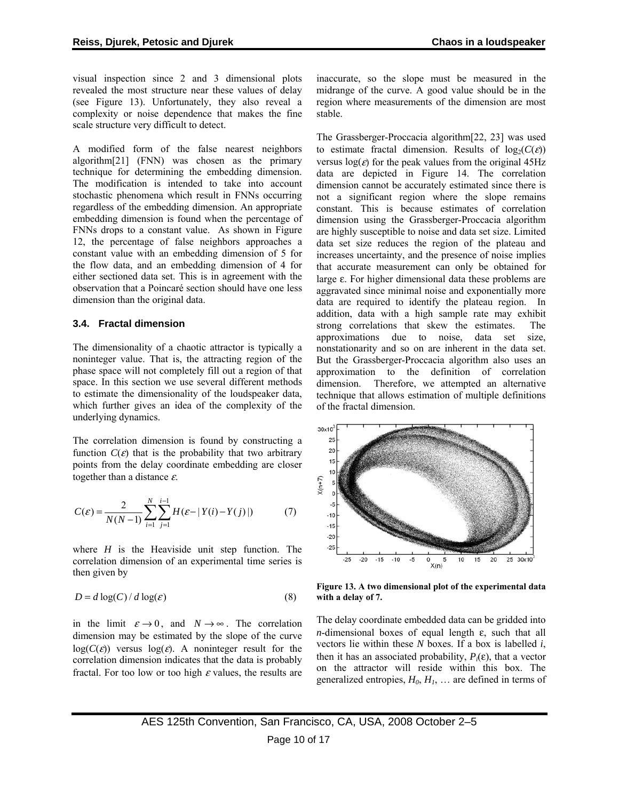<span id="page-9-0"></span>visual inspection since 2 and 3 dimensional plots revealed the most structure near these values of delay (see [Figure 13\)](#page-9-0). Unfortunately, they also reveal a complexity or noise dependence that makes the fine scale structure very difficult to detect.

A modified form of the false nearest neighbors algorithm[21] (FNN) was chosen as the primary technique for determining the embedding dimension. The modification is intended to take into account stochastic phenomena which result in FNNs occurring regardless of the embedding dimension. An appropriate embedding dimension is found when the percentage of FNNs drops to a constant value. As shown in [Figure](#page-8-0)  [12](#page-8-0), the percentage of false neighbors approaches a constant value with an embedding dimension of 5 for the flow data, and an embedding dimension of 4 for either sectioned data set. This is in agreement with the observation that a Poincaré section should have one less dimension than the original data.

#### **3.4. Fractal dimension**

The dimensionality of a chaotic attractor is typically a noninteger value. That is, the attracting region of the phase space will not completely fill out a region of that space. In this section we use several different methods to estimate the dimensionality of the loudspeaker data, which further gives an idea of the complexity of the underlying dynamics.

The correlation dimension is found by constructing a function  $C(\varepsilon)$  that is the probability that two arbitrary points from the delay coordinate embedding are closer together than a distance  $\varepsilon$ .

$$
C(\varepsilon) = \frac{2}{N(N-1)} \sum_{i=1}^{N} \sum_{j=1}^{i-1} H(\varepsilon - |Y(i) - Y(j)|)
$$
(7)

where *H* is the Heaviside unit step function. The correlation dimension of an experimental time series is then given by

$$
D = d \log(C) / d \log(\varepsilon)
$$
 (8)

in the limit  $\varepsilon \to 0$ , and  $N \to \infty$ . The correlation dimension may be estimated by the slope of the curve  $log(C(\varepsilon))$  versus  $log(\varepsilon)$ . A noninteger result for the correlation dimension indicates that the data is probably fractal. For too low or too high  $\varepsilon$  values, the results are inaccurate, so the slope must be measured in the midrange of the curve. A good value should be in the region where measurements of the dimension are most stable.

The Grassberger-Proccacia algorithm[22, 23] was used to estimate fractal dimension. Results of  $log_2(C(\varepsilon))$ versus  $log(\varepsilon)$  for the peak values from the original 45Hz data are depicted in [Figure 14.](#page-11-0) The correlation dimension cannot be accurately estimated since there is not a significant region where the slope remains constant. This is because estimates of correlation dimension using the Grassberger-Proccacia algorithm are highly susceptible to noise and data set size. Limited data set size reduces the region of the plateau and increases uncertainty, and the presence of noise implies that accurate measurement can only be obtained for large ε. For higher dimensional data these problems are aggravated since minimal noise and exponentially more data are required to identify the plateau region. In addition, data with a high sample rate may exhibit strong correlations that skew the estimates. The approximations due to noise, data set size, nonstationarity and so on are inherent in the data set. But the Grassberger-Proccacia algorithm also uses an approximation to the definition of correlation dimension. Therefore, we attempted an alternative technique that allows estimation of multiple definitions of the fractal dimension.



**Figure 13. A two dimensional plot of the experimental data with a delay of 7.** 

The delay coordinate embedded data can be gridded into *n*-dimensional boxes of equal length ε, such that all vectors lie within these *N* boxes. If a box is labelled *i*, then it has an associated probability,  $P_i(\varepsilon)$ , that a vector on the attractor will reside within this box. The generalized entropies,  $H_0$ ,  $H_1$ , ... are defined in terms of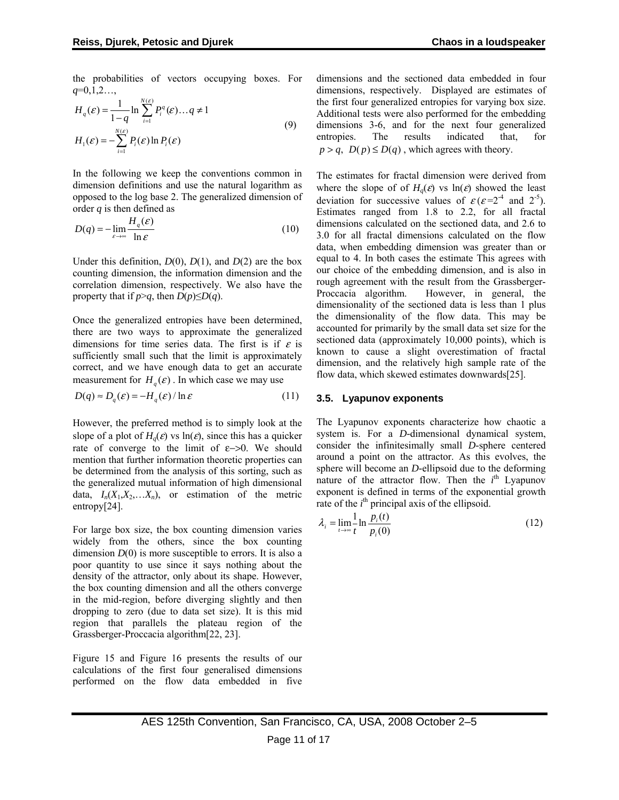the probabilities of vectors occupying boxes. For *q*=0,1,2…,

$$
H_q(\varepsilon) = \frac{1}{1-q} \ln \sum_{i=1}^{N(\varepsilon)} P_i^q(\varepsilon) \dots q \neq 1
$$
  
\n
$$
H_1(\varepsilon) = -\sum_{i=1}^{N(\varepsilon)} P_i(\varepsilon) \ln P_i(\varepsilon)
$$
\n(9)

In the following we keep the conventions common in dimension definitions and use the natural logarithm as opposed to the log base 2. The generalized dimension of order *q* is then defined as

$$
D(q) = -\lim_{\varepsilon \to \infty} \frac{H_q(\varepsilon)}{\ln \varepsilon} \tag{10}
$$

Under this definition,  $D(0)$ ,  $D(1)$ , and  $D(2)$  are the box counting dimension, the information dimension and the correlation dimension, respectively. We also have the property that if  $p > q$ , then  $D(p) \le D(q)$ .

Once the generalized entropies have been determined, there are two ways to approximate the generalized dimensions for time series data. The first is if  $\varepsilon$  is sufficiently small such that the limit is approximately correct, and we have enough data to get an accurate measurement for  $H_a(\varepsilon)$ . In which case we may use

$$
D(q) \approx D_q(\varepsilon) = -H_q(\varepsilon) / \ln \varepsilon \tag{11}
$$

However, the preferred method is to simply look at the slope of a plot of  $H_q(\varepsilon)$  vs ln( $\varepsilon$ ), since this has a quicker rate of converge to the limit of  $\varepsilon$ ->0. We should mention that further information theoretic properties can be determined from the analysis of this sorting, such as the generalized mutual information of high dimensional data,  $I_n(X_1, X_2, \ldots, X_n)$ , or estimation of the metric entropy[24].

For large box size, the box counting dimension varies widely from the others, since the box counting dimension  $D(0)$  is more susceptible to errors. It is also a poor quantity to use since it says nothing about the density of the attractor, only about its shape. However, the box counting dimension and all the others converge in the mid-region, before diverging slightly and then dropping to zero (due to data set size). It is this mid region that parallels the plateau region of the Grassberger-Proccacia algorithm[22, 23].

[Figure 15](#page-13-0) and [Figure 16](#page-13-0) presents the results of our calculations of the first four generalised dimensions performed on the flow data embedded in five dimensions and the sectioned data embedded in four dimensions, respectively. Displayed are estimates of the first four generalized entropies for varying box size. Additional tests were also performed for the embedding dimensions 3-6, and for the next four generalized<br>entropies. The results indicated that, for entropies. The results indicated that, for  $p > q$ ,  $D(p) \le D(q)$ , which agrees with theory.

The estimates for fractal dimension were derived from where the slope of of  $H_q(\varepsilon)$  vs ln( $\varepsilon$ ) showed the least deviation for successive values of  $\varepsilon$  ( $\varepsilon$ =2<sup>-4</sup> and 2<sup>-5</sup>). Estimates ranged from 1.8 to 2.2, for all fractal dimensions calculated on the sectioned data, and 2.6 to 3.0 for all fractal dimensions calculated on the flow data, when embedding dimension was greater than or equal to 4. In both cases the estimate This agrees with our choice of the embedding dimension, and is also in rough agreement with the result from the Grassberger-Proccacia algorithm. However, in general, the dimensionality of the sectioned data is less than 1 plus the dimensionality of the flow data. This may be accounted for primarily by the small data set size for the sectioned data (approximately 10,000 points), which is known to cause a slight overestimation of fractal dimension, and the relatively high sample rate of the flow data, which skewed estimates downwards[25].

#### **3.5. Lyapunov exponents**

The Lyapunov exponents characterize how chaotic a system is. For a *D-*dimensional dynamical system, consider the infinitesimally small *D-*sphere centered around a point on the attractor. As this evolves, the sphere will become an *D-*ellipsoid due to the deforming nature of the attractor flow. Then the  $i<sup>th</sup>$  Lyapunov exponent is defined in terms of the exponential growth rate of the  $i<sup>th</sup>$  principal axis of the ellipsoid.

$$
\lambda_i = \lim_{t \to \infty} \frac{1}{t} \ln \frac{p_i(t)}{p_i(0)} \tag{12}
$$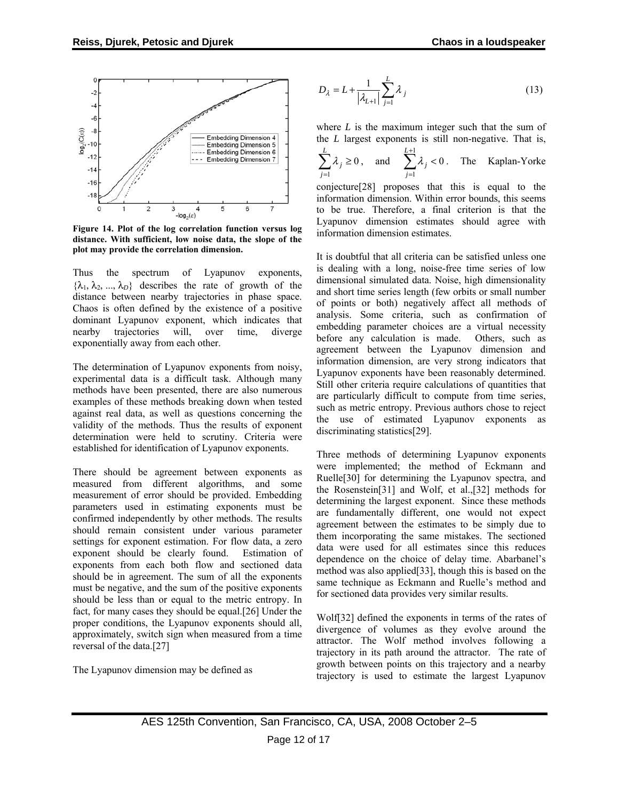<span id="page-11-0"></span>

**Figure 14. Plot of the log correlation function versus log distance. With sufficient, low noise data, the slope of the plot may provide the correlation dimension.** 

Thus the spectrum of Lyapunov exponents,  $\{\lambda_1, \lambda_2, ..., \lambda_n\}$  describes the rate of growth of the distance between nearby trajectories in phase space. Chaos is often defined by the existence of a positive dominant Lyapunov exponent, which indicates that nearby trajectories will, over time, diverge exponentially away from each other.

The determination of Lyapunov exponents from noisy, experimental data is a difficult task. Although many methods have been presented, there are also numerous examples of these methods breaking down when tested against real data, as well as questions concerning the validity of the methods. Thus the results of exponent determination were held to scrutiny. Criteria were established for identification of Lyapunov exponents.

There should be agreement between exponents as measured from different algorithms, and some measurement of error should be provided. Embedding parameters used in estimating exponents must be confirmed independently by other methods. The results should remain consistent under various parameter settings for exponent estimation. For flow data, a zero exponent should be clearly found. Estimation of exponents from each both flow and sectioned data should be in agreement. The sum of all the exponents must be negative, and the sum of the positive exponents should be less than or equal to the metric entropy. In fact, for many cases they should be equal.[26] Under the proper conditions, the Lyapunov exponents should all, approximately, switch sign when measured from a time reversal of the data.[27]

The Lyapunov dimension may be defined as

$$
D_{\lambda} = L + \frac{1}{|\lambda_{L+1}|} \sum_{j=1}^{L} \lambda_j
$$
 (13)

where  $L$  is the maximum integer such that the sum of the *L* largest exponents is still non-negative. That is,

$$
\sum_{j=1}^{L} \lambda_j \ge 0, \text{ and } \sum_{j=1}^{L+1} \lambda_j < 0. \text{ The Kaplan-Yorke}
$$

conjecture[28] proposes that this is equal to the information dimension. Within error bounds, this seems to be true. Therefore, a final criterion is that the Lyapunov dimension estimates should agree with information dimension estimates.

It is doubtful that all criteria can be satisfied unless one is dealing with a long, noise-free time series of low dimensional simulated data. Noise, high dimensionality and short time series length (few orbits or small number of points or both) negatively affect all methods of analysis. Some criteria, such as confirmation of embedding parameter choices are a virtual necessity before any calculation is made. Others, such as agreement between the Lyapunov dimension and information dimension, are very strong indicators that Lyapunov exponents have been reasonably determined. Still other criteria require calculations of quantities that are particularly difficult to compute from time series, such as metric entropy. Previous authors chose to reject the use of estimated Lyapunov exponents as discriminating statistics[29].

Three methods of determining Lyapunov exponents were implemented; the method of Eckmann and Ruelle[30] for determining the Lyapunov spectra, and the Rosenstein[31] and Wolf, et al.,[32] methods for determining the largest exponent. Since these methods are fundamentally different, one would not expect agreement between the estimates to be simply due to them incorporating the same mistakes. The sectioned data were used for all estimates since this reduces dependence on the choice of delay time. Abarbanel's method was also applied[33], though this is based on the same technique as Eckmann and Ruelle's method and for sectioned data provides very similar results.

Wolf[32] defined the exponents in terms of the rates of divergence of volumes as they evolve around the attractor. The Wolf method involves following a trajectory in its path around the attractor. The rate of growth between points on this trajectory and a nearby trajectory is used to estimate the largest Lyapunov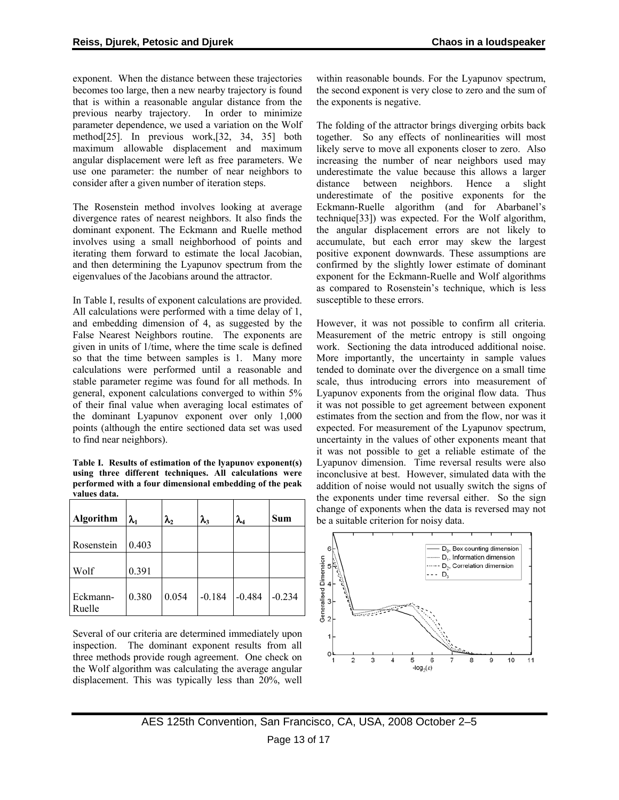<span id="page-12-0"></span>exponent. When the distance between these trajectories becomes too large, then a new nearby trajectory is found that is within a reasonable angular distance from the previous nearby trajectory. In order to minimize parameter dependence, we used a variation on the Wolf method[25]. In previous work,[32, 34, 35] both maximum allowable displacement and maximum angular displacement were left as free parameters. We use one parameter: the number of near neighbors to consider after a given number of iteration steps.

The Rosenstein method involves looking at average divergence rates of nearest neighbors. It also finds the dominant exponent. The Eckmann and Ruelle method involves using a small neighborhood of points and iterating them forward to estimate the local Jacobian, and then determining the Lyapunov spectrum from the eigenvalues of the Jacobians around the attractor.

In [Table I,](#page-12-0) results of exponent calculations are provided. All calculations were performed with a time delay of 1, and embedding dimension of 4, as suggested by the False Nearest Neighbors routine. The exponents are given in units of 1/time, where the time scale is defined so that the time between samples is 1. Many more calculations were performed until a reasonable and stable parameter regime was found for all methods. In general, exponent calculations converged to within 5% of their final value when averaging local estimates of the dominant Lyapunov exponent over only 1,000 points (although the entire sectioned data set was used to find near neighbors).

**Table I. Results of estimation of the lyapunov exponent(s) using three different techniques. All calculations were performed with a four dimensional embedding of the peak values data.** 

| Algorithm          | $\lambda_{1}$ | $\pmb{\lambda}_2$ | $\lambda_{3}$ | $\lambda_4$ | <b>Sum</b> |
|--------------------|---------------|-------------------|---------------|-------------|------------|
| Rosenstein         | 0.403         |                   |               |             |            |
| Wolf               | 0.391         |                   |               |             |            |
| Eckmann-<br>Ruelle | 0.380         | 0.054             | $-0.184$      | $-0.484$    | $-0.234$   |

Several of our criteria are determined immediately upon inspection. The dominant exponent results from all three methods provide rough agreement. One check on the Wolf algorithm was calculating the average angular displacement. This was typically less than 20%, well within reasonable bounds. For the Lyapunov spectrum, the second exponent is very close to zero and the sum of the exponents is negative.

The folding of the attractor brings diverging orbits back together. So any effects of nonlinearities will most likely serve to move all exponents closer to zero. Also increasing the number of near neighbors used may underestimate the value because this allows a larger distance between neighbors. Hence a slight underestimate of the positive exponents for the Eckmann-Ruelle algorithm (and for Abarbanel's technique[33]) was expected. For the Wolf algorithm, the angular displacement errors are not likely to accumulate, but each error may skew the largest positive exponent downwards. These assumptions are confirmed by the slightly lower estimate of dominant exponent for the Eckmann-Ruelle and Wolf algorithms as compared to Rosenstein's technique, which is less susceptible to these errors.

However, it was not possible to confirm all criteria. Measurement of the metric entropy is still ongoing work. Sectioning the data introduced additional noise. More importantly, the uncertainty in sample values tended to dominate over the divergence on a small time scale, thus introducing errors into measurement of Lyapunov exponents from the original flow data. Thus it was not possible to get agreement between exponent estimates from the section and from the flow, nor was it expected. For measurement of the Lyapunov spectrum, uncertainty in the values of other exponents meant that it was not possible to get a reliable estimate of the Lyapunov dimension. Time reversal results were also inconclusive at best. However, simulated data with the addition of noise would not usually switch the signs of the exponents under time reversal either. So the sign change of exponents when the data is reversed may not be a suitable criterion for noisy data.

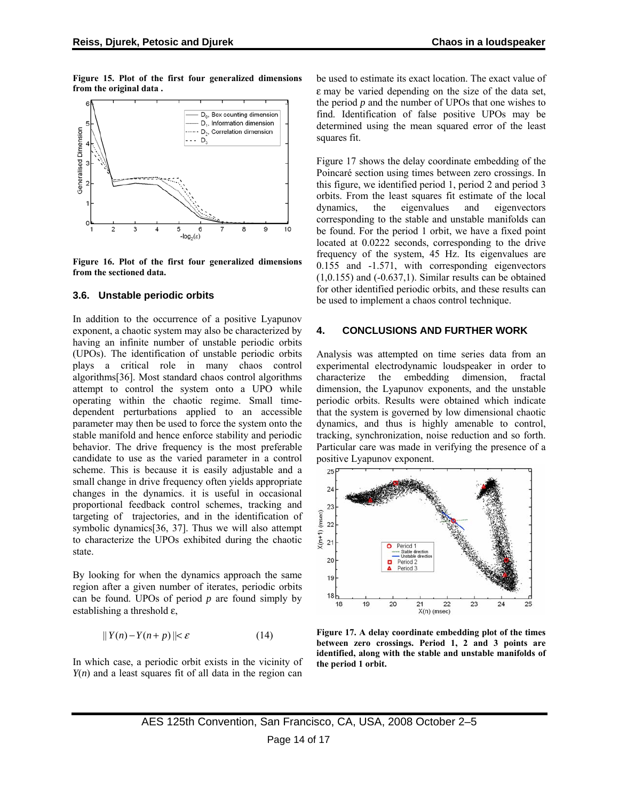<span id="page-13-0"></span>**Figure 15. Plot of the first four generalized dimensions from the original data .** 



**Figure 16. Plot of the first four generalized dimensions from the sectioned data.** 

#### **3.6. Unstable periodic orbits**

In addition to the occurrence of a positive Lyapunov exponent, a chaotic system may also be characterized by having an infinite number of unstable periodic orbits (UPOs). The identification of unstable periodic orbits plays a critical role in many chaos control algorithms[36]. Most standard chaos control algorithms attempt to control the system onto a UPO while operating within the chaotic regime. Small timedependent perturbations applied to an accessible parameter may then be used to force the system onto the stable manifold and hence enforce stability and periodic behavior. The drive frequency is the most preferable candidate to use as the varied parameter in a control scheme. This is because it is easily adjustable and a small change in drive frequency often yields appropriate changes in the dynamics. it is useful in occasional proportional feedback control schemes, tracking and targeting of trajectories, and in the identification of symbolic dynamics[36, 37]. Thus we will also attempt to characterize the UPOs exhibited during the chaotic state.

By looking for when the dynamics approach the same region after a given number of iterates, periodic orbits can be found. UPOs of period *p* are found simply by establishing a threshold ε,

$$
||Y(n) - Y(n+p)|| < \varepsilon \tag{14}
$$

In which case, a periodic orbit exists in the vicinity of *Y*(*n*) and a least squares fit of all data in the region can be used to estimate its exact location. The exact value of ε may be varied depending on the size of the data set, the period *p* and the number of UPOs that one wishes to find. Identification of false positive UPOs may be determined using the mean squared error of the least squares fit.

[Figure 17](#page-13-0) shows the delay coordinate embedding of the Poincaré section using times between zero crossings. In this figure, we identified period 1, period 2 and period 3 orbits. From the least squares fit estimate of the local dynamics, the eigenvalues and eigenvectors corresponding to the stable and unstable manifolds can be found. For the period 1 orbit, we have a fixed point located at 0.0222 seconds, corresponding to the drive frequency of the system, 45 Hz. Its eigenvalues are 0.155 and -1.571, with corresponding eigenvectors  $(1,0.155)$  and  $(-0.637,1)$ . Similar results can be obtained for other identified periodic orbits, and these results can be used to implement a chaos control technique.

#### **4. CONCLUSIONS AND FURTHER WORK**

Analysis was attempted on time series data from an experimental electrodynamic loudspeaker in order to characterize the embedding dimension, fractal dimension, the Lyapunov exponents, and the unstable periodic orbits. Results were obtained which indicate that the system is governed by low dimensional chaotic dynamics, and thus is highly amenable to control, tracking, synchronization, noise reduction and so forth. Particular care was made in verifying the presence of a positive Lyapunov exponent.



**Figure 17. A delay coordinate embedding plot of the times between zero crossings. Period 1, 2 and 3 points are identified, along with the stable and unstable manifolds of the period 1 orbit.**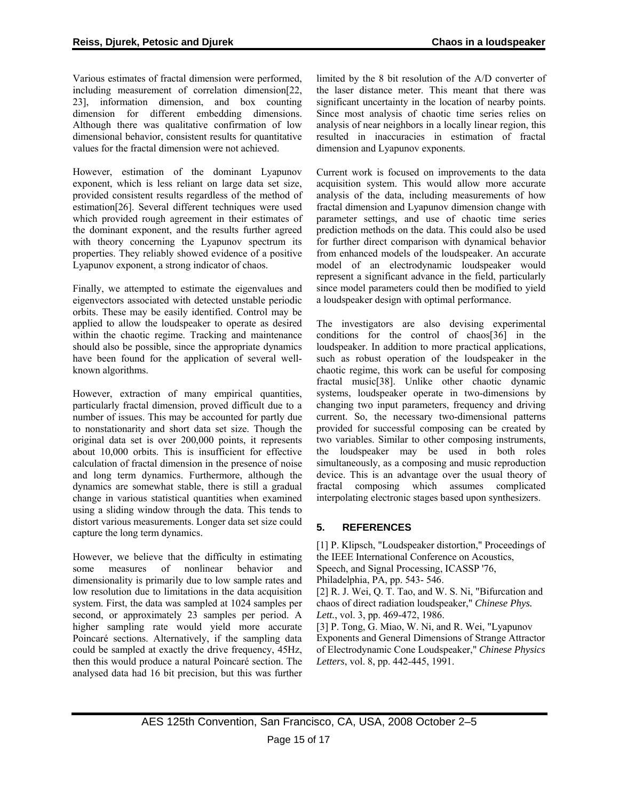Various estimates of fractal dimension were performed, including measurement of correlation dimension[22, 23], information dimension, and box counting dimension for different embedding dimensions. Although there was qualitative confirmation of low dimensional behavior, consistent results for quantitative values for the fractal dimension were not achieved.

However, estimation of the dominant Lyapunov exponent, which is less reliant on large data set size, provided consistent results regardless of the method of estimation[26]. Several different techniques were used which provided rough agreement in their estimates of the dominant exponent, and the results further agreed with theory concerning the Lyapunov spectrum its properties. They reliably showed evidence of a positive Lyapunov exponent, a strong indicator of chaos.

Finally, we attempted to estimate the eigenvalues and eigenvectors associated with detected unstable periodic orbits. These may be easily identified. Control may be applied to allow the loudspeaker to operate as desired within the chaotic regime. Tracking and maintenance should also be possible, since the appropriate dynamics have been found for the application of several wellknown algorithms.

However, extraction of many empirical quantities, particularly fractal dimension, proved difficult due to a number of issues. This may be accounted for partly due to nonstationarity and short data set size. Though the original data set is over 200,000 points, it represents about 10,000 orbits. This is insufficient for effective calculation of fractal dimension in the presence of noise and long term dynamics. Furthermore, although the dynamics are somewhat stable, there is still a gradual change in various statistical quantities when examined using a sliding window through the data. This tends to distort various measurements. Longer data set size could capture the long term dynamics.

However, we believe that the difficulty in estimating some measures of nonlinear behavior and dimensionality is primarily due to low sample rates and low resolution due to limitations in the data acquisition system. First, the data was sampled at 1024 samples per second, or approximately 23 samples per period. A higher sampling rate would yield more accurate Poincaré sections. Alternatively, if the sampling data could be sampled at exactly the drive frequency, 45Hz, then this would produce a natural Poincaré section. The analysed data had 16 bit precision, but this was further limited by the 8 bit resolution of the A/D converter of the laser distance meter. This meant that there was significant uncertainty in the location of nearby points. Since most analysis of chaotic time series relies on analysis of near neighbors in a locally linear region, this resulted in inaccuracies in estimation of fractal dimension and Lyapunov exponents.

Current work is focused on improvements to the data acquisition system. This would allow more accurate analysis of the data, including measurements of how fractal dimension and Lyapunov dimension change with parameter settings, and use of chaotic time series prediction methods on the data. This could also be used for further direct comparison with dynamical behavior from enhanced models of the loudspeaker. An accurate model of an electrodynamic loudspeaker would represent a significant advance in the field, particularly since model parameters could then be modified to yield a loudspeaker design with optimal performance.

The investigators are also devising experimental conditions for the control of chaos[36] in the loudspeaker. In addition to more practical applications, such as robust operation of the loudspeaker in the chaotic regime, this work can be useful for composing fractal music[38]. Unlike other chaotic dynamic systems, loudspeaker operate in two-dimensions by changing two input parameters, frequency and driving current. So, the necessary two-dimensional patterns provided for successful composing can be created by two variables. Similar to other composing instruments, the loudspeaker may be used in both roles simultaneously, as a composing and music reproduction device. This is an advantage over the usual theory of fractal composing which assumes complicated interpolating electronic stages based upon synthesizers.

# **5. REFERENCES**

[1] P. Klipsch, "Loudspeaker distortion," Proceedings of the IEEE International Conference on Acoustics, Speech, and Signal Processing, ICASSP '76, Philadelphia, PA, pp. 543- 546. [2] R. J. Wei, Q. T. Tao, and W. S. Ni, "Bifurcation and chaos of direct radiation loudspeaker," *Chinese Phys. Lett.*, vol. 3, pp. 469-472, 1986.

[3] P. Tong, G. Miao, W. Ni, and R. Wei, "Lyapunov Exponents and General Dimensions of Strange Attractor of Electrodynamic Cone Loudspeaker," *Chinese Physics Letters*, vol. 8, pp. 442-445, 1991.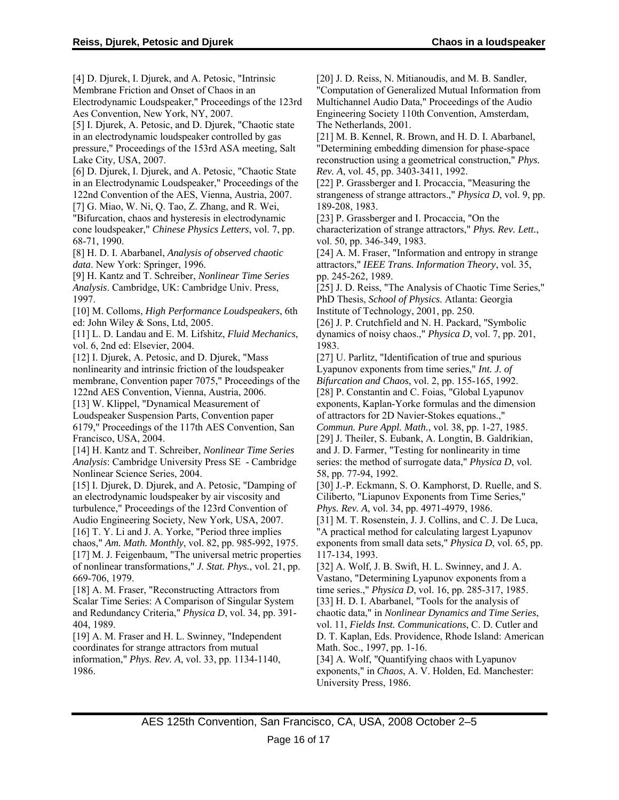[4] D. Djurek, I. Djurek, and A. Petosic, "Intrinsic Membrane Friction and Onset of Chaos in an Electrodynamic Loudspeaker," Proceedings of the 123rd Aes Convention, New York, NY, 2007. [5] I. Djurek, A. Petosic, and D. Djurek, "Chaotic state in an electrodynamic loudspeaker controlled by gas pressure," Proceedings of the 153rd ASA meeting, Salt Lake City, USA, 2007. [6] D. Djurek, I. Djurek, and A. Petosic, "Chaotic State in an Electrodynamic Loudspeaker," Proceedings of the 122nd Convention of the AES, Vienna, Austria, 2007. [7] G. Miao, W. Ni, Q. Tao, Z. Zhang, and R. Wei, "Bifurcation, chaos and hysteresis in electrodynamic cone loudspeaker," *Chinese Physics Letters*, vol. 7, pp. 68-71, 1990. [8] H. D. I. Abarbanel, *Analysis of observed chaotic data*. New York: Springer, 1996. [9] H. Kantz and T. Schreiber, *Nonlinear Time Series Analysis*. Cambridge, UK: Cambridge Univ. Press, 1997. [10] M. Colloms, *High Performance Loudspeakers*, 6th ed: John Wiley & Sons, Ltd, 2005. [11] L. D. Landau and E. M. Lifshitz, *Fluid Mechanics*, vol. 6, 2nd ed: Elsevier, 2004. [12] I. Djurek, A. Petosic, and D. Djurek, "Mass" nonlinearity and intrinsic friction of the loudspeaker membrane, Convention paper 7075," Proceedings of the 122nd AES Convention, Vienna, Austria, 2006. [13] W. Klippel, "Dynamical Measurement of Loudspeaker Suspension Parts, Convention paper 6179," Proceedings of the 117th AES Convention, San Francisco, USA, 2004. [14] H. Kantz and T. Schreiber, *Nonlinear Time Series Analysis*: Cambridge University Press SE - Cambridge Nonlinear Science Series, 2004. [15] I. Djurek, D. Djurek, and A. Petosic, "Damping of an electrodynamic loudspeaker by air viscosity and turbulence," Proceedings of the 123rd Convention of Audio Engineering Society, New York, USA, 2007. [16] T. Y. Li and J. A. Yorke, "Period three implies chaos," *Am. Math. Monthly*, vol. 82, pp. 985-992, 1975. [17] M. J. Feigenbaum, "The universal metric properties of nonlinear transformations," *J. Stat. Phys.*, vol. 21, pp. 669-706, 1979. [18] A. M. Fraser, "Reconstructing Attractors from Scalar Time Series: A Comparison of Singular System and Redundancy Criteria," *Physica D*, vol. 34, pp. 391- 404, 1989. [19] A. M. Fraser and H. L. Swinney, "Independent coordinates for strange attractors from mutual information," *Phys. Rev. A*, vol. 33, pp. 1134-1140, 1986. 189-208, 1983. 1983. 117-134, 1993.

[20] J. D. Reiss, N. Mitianoudis, and M. B. Sandler, "Computation of Generalized Mutual Information from Multichannel Audio Data," Proceedings of the Audio Engineering Society 110th Convention, Amsterdam, The Netherlands, 2001.

[21] M. B. Kennel, R. Brown, and H. D. I. Abarbanel, "Determining embedding dimension for phase-space reconstruction using a geometrical construction," *Phys. Rev. A*, vol. 45, pp. 3403-3411, 1992.

[22] P. Grassberger and I. Procaccia, "Measuring the strangeness of strange attractors.," *Physica D*, vol. 9, pp.

[23] P. Grassberger and I. Procaccia, "On the characterization of strange attractors," *Phys. Rev. Lett.*, vol. 50, pp. 346-349, 1983.

[24] A. M. Fraser, "Information and entropy in strange attractors," *IEEE Trans. Information Theory*, vol. 35, pp. 245-262, 1989.

[25] J. D. Reiss, "The Analysis of Chaotic Time Series," PhD Thesis, *School of Physics*. Atlanta: Georgia Institute of Technology, 2001, pp. 250.

[26] J. P. Crutchfield and N. H. Packard, "Symbolic dynamics of noisy chaos.," *Physica D*, vol. 7, pp. 201,

[27] U. Parlitz, "Identification of true and spurious Lyapunov exponents from time series," *Int. J. of Bifurcation and Chaos*, vol. 2, pp. 155-165, 1992. [28] P. Constantin and C. Foias, "Global Lyapunov" exponents, Kaplan-Yorke formulas and the dimension of attractors for 2D Navier-Stokes equations.,"

*Commun. Pure Appl. Math.*, vol. 38, pp. 1-27, 1985.

[29] J. Theiler, S. Eubank, A. Longtin, B. Galdrikian, and J. D. Farmer, "Testing for nonlinearity in time series: the method of surrogate data," *Physica D*, vol. 58, pp. 77-94, 1992.

[30] J.-P. Eckmann, S. O. Kamphorst, D. Ruelle, and S. Ciliberto, "Liapunov Exponents from Time Series," *Phys. Rev. A*, vol. 34, pp. 4971-4979, 1986.

[31] M. T. Rosenstein, J. J. Collins, and C. J. De Luca, "A practical method for calculating largest Lyapunov exponents from small data sets," *Physica D*, vol. 65, pp.

[32] A. Wolf, J. B. Swift, H. L. Swinney, and J. A. Vastano, "Determining Lyapunov exponents from a time series.," *Physica D*, vol. 16, pp. 285-317, 1985. [33] H. D. I. Abarbanel, "Tools for the analysis of chaotic data," in *Nonlinear Dynamics and Time Series*, vol. 11, *Fields Inst. Communications*, C. D. Cutler and D. T. Kaplan, Eds. Providence, Rhode Island: American Math. Soc., 1997, pp. 1-16. [34] A. Wolf, "Quantifying chaos with Lyapunov exponents," in *Chaos*, A. V. Holden, Ed. Manchester: University Press, 1986.